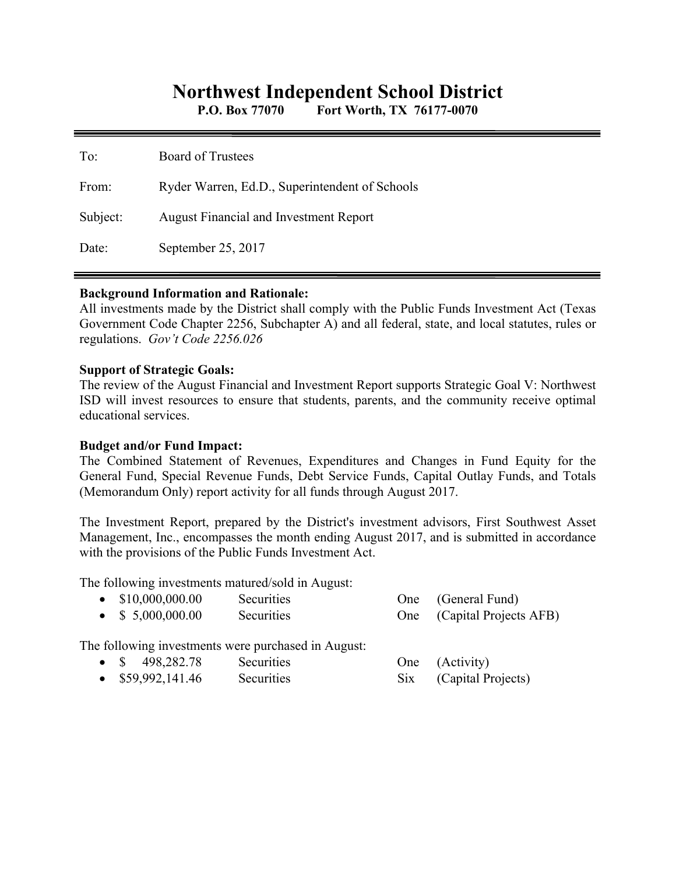# **Northwest Independent School District**

**P.O. Box 77070 Fort Worth, TX 76177-0070** 

| To:      | <b>Board of Trustees</b>                       |
|----------|------------------------------------------------|
| From:    | Ryder Warren, Ed.D., Superintendent of Schools |
| Subject: | <b>August Financial and Investment Report</b>  |
| Date:    | September 25, 2017                             |

#### **Background Information and Rationale:**

All investments made by the District shall comply with the Public Funds Investment Act (Texas Government Code Chapter 2256, Subchapter A) and all federal, state, and local statutes, rules or regulations. *Gov't Code 2256.026* 

#### **Support of Strategic Goals:**

The review of the August Financial and Investment Report supports Strategic Goal V: Northwest ISD will invest resources to ensure that students, parents, and the community receive optimal educational services.

### **Budget and/or Fund Impact:**

The Combined Statement of Revenues, Expenditures and Changes in Fund Equity for the General Fund, Special Revenue Funds, Debt Service Funds, Capital Outlay Funds, and Totals (Memorandum Only) report activity for all funds through August 2017.

The Investment Report, prepared by the District's investment advisors, First Southwest Asset Management, Inc., encompasses the month ending August 2017, and is submitted in accordance with the provisions of the Public Funds Investment Act.

The following investments matured/sold in August:

| $\bullet$ \$10,000,000.00 | <b>Securities</b>                                   | One (General Fund)               |
|---------------------------|-----------------------------------------------------|----------------------------------|
| $\bullet$ \$ 5,000,000.00 | Securities                                          | One (Capital Projects AFB)       |
|                           | The following investments were purchased in August: | $\Omega_{\text{max}}$ (Astivity) |

| • $\frac{\$}{498,282.78}$ | <b>Securities</b> | One (Activity)         |
|---------------------------|-------------------|------------------------|
| $\bullet$ \$59,992,141.46 | Securities        | Six (Capital Projects) |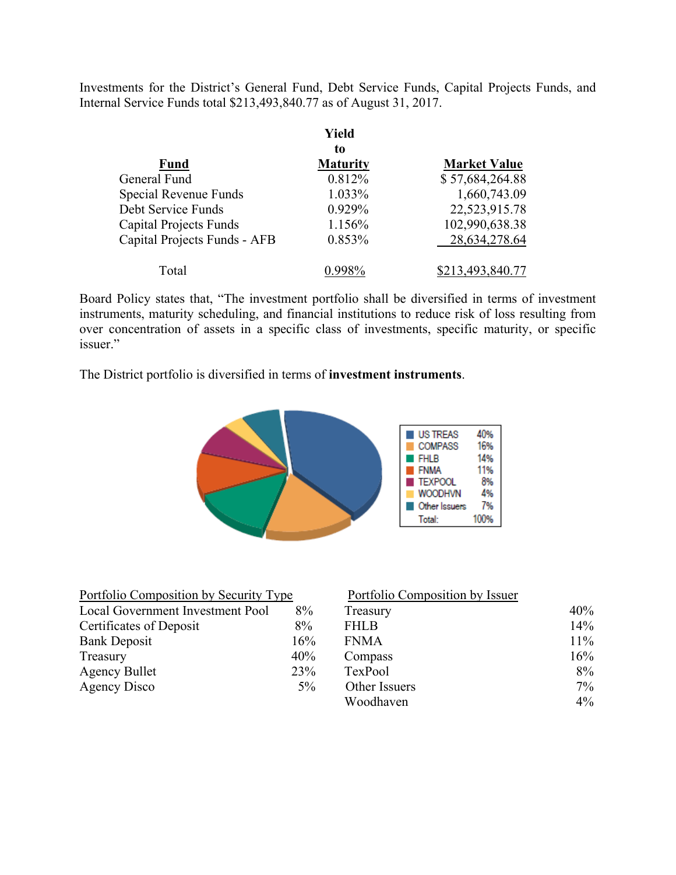Investments for the District's General Fund, Debt Service Funds, Capital Projects Funds, and Internal Service Funds total \$213,493,840.77 as of August 31, 2017.

|                               | Yield           |                     |
|-------------------------------|-----------------|---------------------|
|                               | to              |                     |
| <b>Fund</b>                   | <b>Maturity</b> | <b>Market Value</b> |
| General Fund                  | 0.812%          | \$57,684,264.88     |
| Special Revenue Funds         | 1.033%          | 1,660,743.09        |
| Debt Service Funds            | $0.929\%$       | 22,523,915.78       |
| <b>Capital Projects Funds</b> | 1.156%          | 102,990,638.38      |
| Capital Projects Funds - AFB  | 0.853%          | 28,634,278.64       |
| Total                         |                 | \$213,493,840.77    |

Board Policy states that, "The investment portfolio shall be diversified in terms of investment instruments, maturity scheduling, and financial institutions to reduce risk of loss resulting from over concentration of assets in a specific class of investments, specific maturity, or specific issuer."

The District portfolio is diversified in terms of **investment instruments**.



| Portfolio Composition by Security Type |       | Portfolio Composition by Issuer |        |
|----------------------------------------|-------|---------------------------------|--------|
| Local Government Investment Pool       | 8%    | Treasury                        | 40%    |
| Certificates of Deposit                | 8%    | <b>FHLB</b>                     | 14%    |
| <b>Bank Deposit</b>                    | 16%   | <b>FNMA</b>                     | $11\%$ |
| Treasury                               | 40%   | Compass                         | 16%    |
| <b>Agency Bullet</b>                   | 23%   | TexPool                         | $8\%$  |
| Agency Disco                           | $5\%$ | Other Issuers                   | $7\%$  |
|                                        |       | Woodhaven                       | $4\%$  |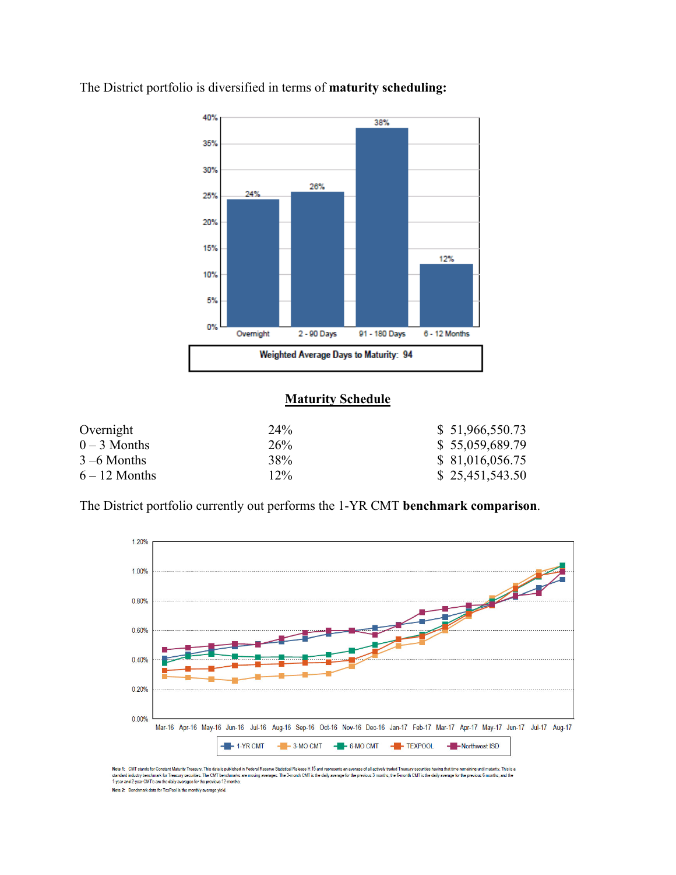

The District portfolio is diversified in terms of **maturity scheduling:** 

## **Maturity Schedule**

| Overnight       | 24%             | \$51,966,550.73 |
|-----------------|-----------------|-----------------|
| $0-3$ Months    | 26 <sup>%</sup> | \$55,059,689.79 |
| $3 - 6$ Months  | 38%             | \$81,016,056.75 |
| $6 - 12$ Months | $12\%$          | \$25,451,543.50 |

The District portfolio currently out performs the 1-YR CMT **benchmark comparison**.



Note 1: CMT stands for Constant Maturity Treasury. This data is published in Federal Reserve Statistical Release H.15 and represents an average of all actively traded Treasury securities having that time remaining until ma Note 2: Benchmark data for TexPool is the monthly average yield.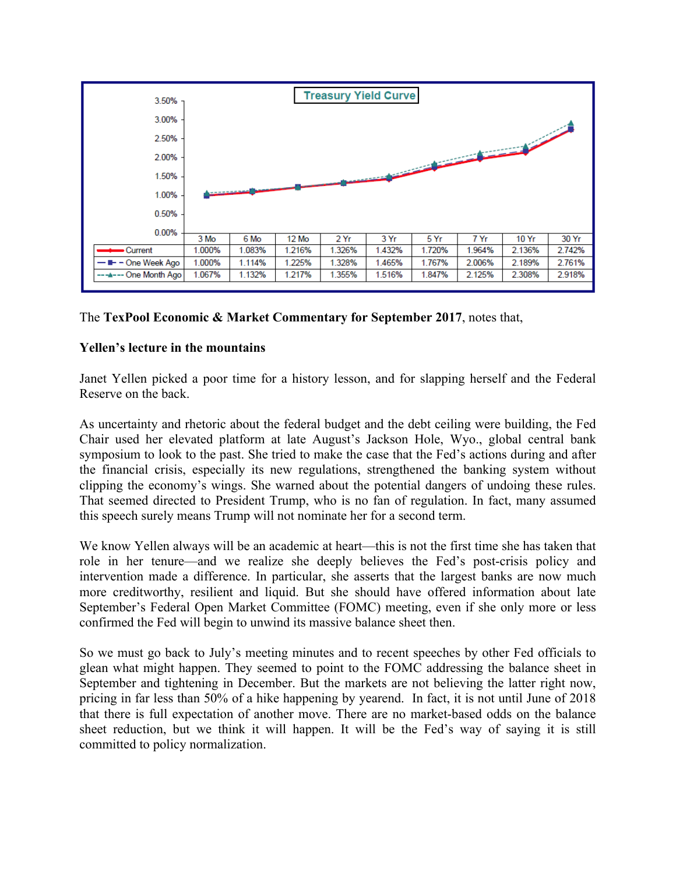

The **TexPool Economic & Market Commentary for September 2017**, notes that,

# **Yellen's lecture in the mountains**

Janet Yellen picked a poor time for a history lesson, and for slapping herself and the Federal Reserve on the back.

As uncertainty and rhetoric about the federal budget and the debt ceiling were building, the Fed Chair used her elevated platform at late August's Jackson Hole, Wyo., global central bank symposium to look to the past. She tried to make the case that the Fed's actions during and after the financial crisis, especially its new regulations, strengthened the banking system without clipping the economy's wings. She warned about the potential dangers of undoing these rules. That seemed directed to President Trump, who is no fan of regulation. In fact, many assumed this speech surely means Trump will not nominate her for a second term.

We know Yellen always will be an academic at heart—this is not the first time she has taken that role in her tenure—and we realize she deeply believes the Fed's post-crisis policy and intervention made a difference. In particular, she asserts that the largest banks are now much more creditworthy, resilient and liquid. But she should have offered information about late September's Federal Open Market Committee (FOMC) meeting, even if she only more or less confirmed the Fed will begin to unwind its massive balance sheet then.

So we must go back to July's meeting minutes and to recent speeches by other Fed officials to glean what might happen. They seemed to point to the FOMC addressing the balance sheet in September and tightening in December. But the markets are not believing the latter right now, pricing in far less than 50% of a hike happening by yearend. In fact, it is not until June of 2018 that there is full expectation of another move. There are no market-based odds on the balance sheet reduction, but we think it will happen. It will be the Fed's way of saying it is still committed to policy normalization.